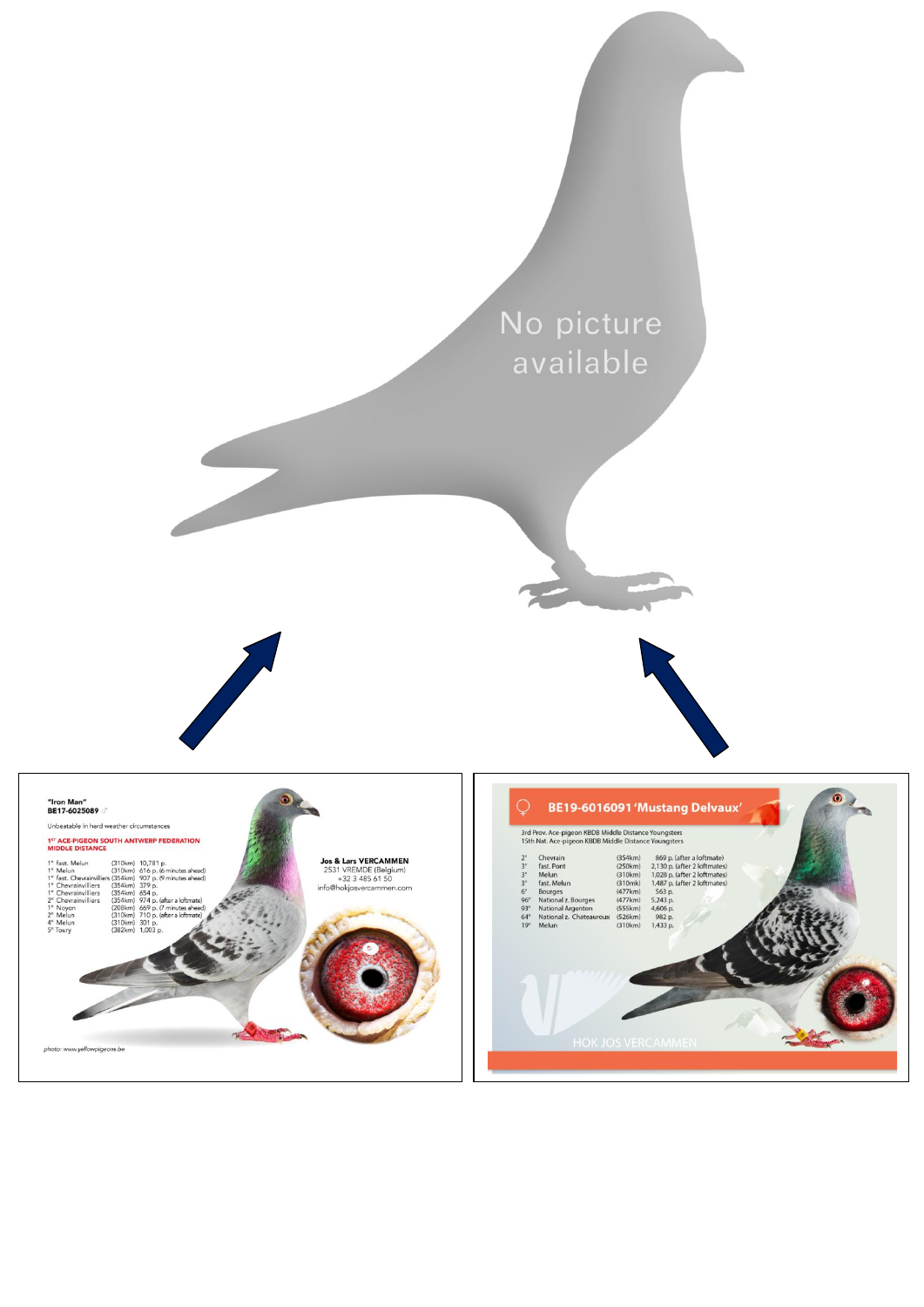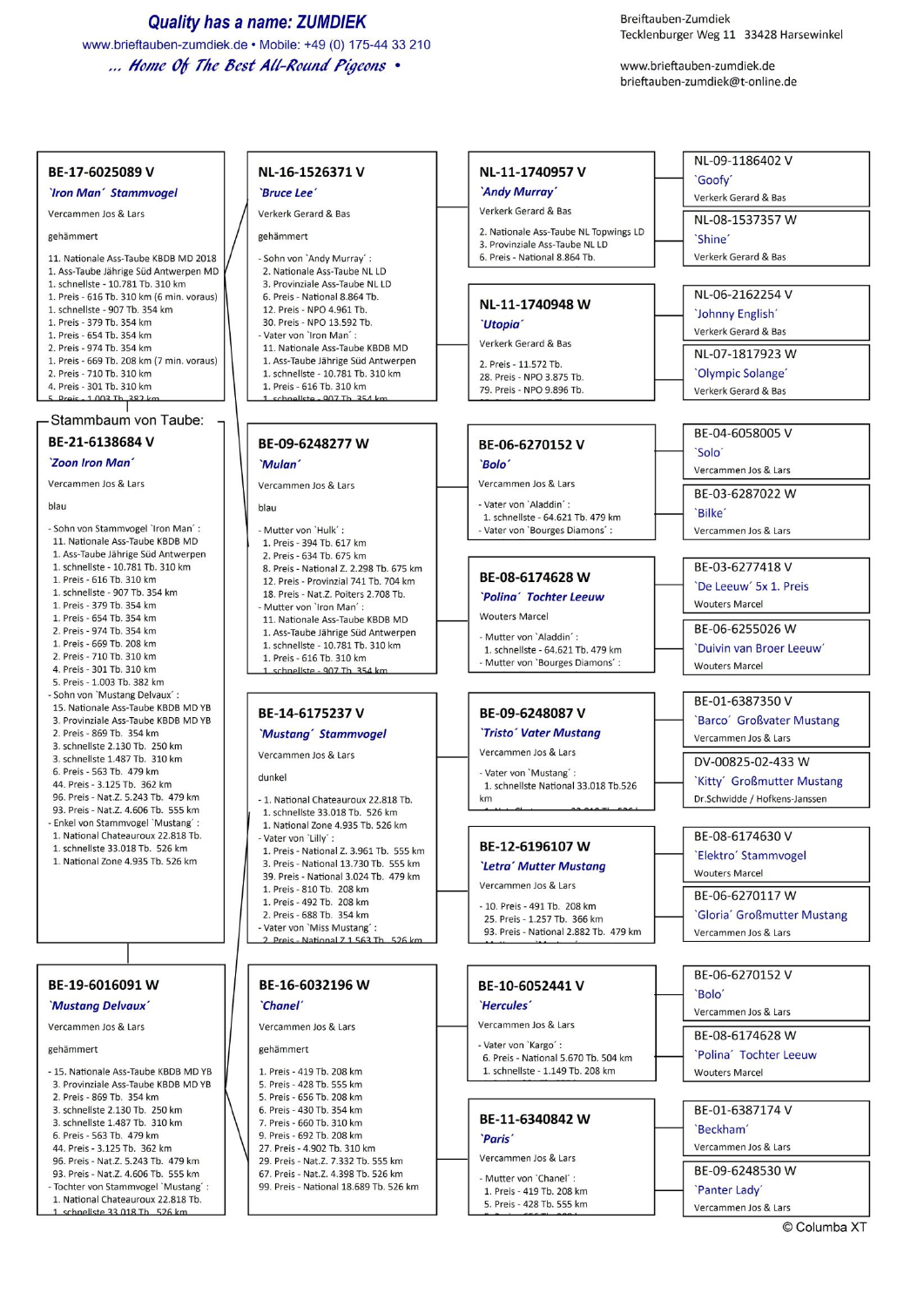**Quality has a name: ZUMDIEK** 

www.brieftauben-zumdiek.de • Mobile: +49 (0) 175-44 33 210 ... Home Of The Best All-Round Pigeons .

Breiftauben-Zumdiek Tecklenburger Weg 11 33428 Harsewinkel

www.brieftauben-zumdiek.de brieftauben-zumdiek@t-online.de

### BE-17-6025089 V

### **`Iron Man' Stammvogel**

Vercammen Jos & Lars

gehämmert

11. Nationale Ass-Taube KBDB MD 2018 1. Ass-Taube Jährige Süd Antwerpen MD 1. schnellste - 10.781 Tb. 310 km 1. Preis - 616 Tb. 310 km (6 min. voraus) 1. schnellste - 907 Tb. 354 km 1. Preis - 379 Tb. 354 km 1. Preis - 654 Tb. 354 km 2. Preis - 974 Tb. 354 km 1. Preis - 669 Tb. 208 km (7 min. voraus) 2. Preis - 710 Tb. 310 km 4. Preis - 301 Tb. 310 km

#### 5 Proje - 1 003 Th 382 km

Stammbaum von Taube:

# BE-21-6138684 V

'Zoon Iron Man'

### Vercammen Jos & Lars

blau

- Sohn von Stammvogel 'Iron Man': 11. Nationale Ass-Taube KBDB MD 1. Ass-Taube Jährige Süd Antwerpen 1. schnellste - 10.781 Tb. 310 km 1. Preis - 616 Tb. 310 km 1. schnellste - 907 Tb. 354 km 1. Preis - 379 Tb. 354 km 1. Preis - 654 Tb. 354 km 2. Preis - 974 Tb. 354 km 1. Preis - 669 Tb. 208 km 2. Preis - 710 Th. 310 km 4 Preis - 301 Th 310 km 5. Preis - 1,003 Th, 382 km - Sohn von `Mustang Delvaux´ : 15. Nationale Ass-Taube KBDB MD YB 3. Provinziale Ass-Taube KBDB MD YB 2. Preis - 869 Tb. 354 km 3. schnellste 2.130 Tb. 250 km 3. schnellste 1.487 Tb. 310 km 6. Preis - 563 Tb. 479 km 44. Preis - 3.125 Tb. 362 km 96. Preis - Nat.Z. 5.243 Tb. 479 km 93. Preis - Nat.Z. 4.606 Tb. 555 km - Enkel von Stammvogel 'Mustang' : 1. National Chateauroux 22.818 Tb. 1. schnellste 33.018 Tb. 526 km 1. National Zone 4.935 Tb. 526 km

## BE-19-6016091 W

'Mustang Delvaux'

Vercammen Jos & Lars

gehämmert

| - 15. Nationale Ass-Taube KBDB MD YE |
|--------------------------------------|
| 3. Provinziale Ass-Taube KBDB MD YB  |
| 2. Preis - 869 Tb. 354 km            |
| 3. schnellste 2.130 Tb. 250 km       |
| 3. schnellste 1.487 Tb. 310 km       |
| 6. Preis - 563 Tb. 479 km            |
|                                      |

- 44. Preis 3.125 Tb. 362 km
- 96. Preis Nat.Z. 5.243 Tb. 479 km
- 93. Preis Nat. Z. 4.606 Tb. 555 km - Tochter von Stammyogel `Mustang' :
- 1. National Chateauroux 22.818 Tb.
- schnellste 33 018 Th 526 kn

# NL-16-1526371 V

'Bruce Lee Verkerk Gerard & Bas

### gehämmert

- Sohn von `Andy Murray´ : 2. Nationale Ass-Taube NL LD 3. Provinziale Ass-Taube NL LD 6. Preis - National 8.864 Tb. 12. Preis - NPO 4.961 Tb 30. Preis - NPO 13.592 Tb. - Vater von 'Iron Man': 11. Nationale Ass-Taube KBDB MD 1. Ass-Taube Jährige Süd Antwerpen 1. schnellste - 10.781 Th. 310 km
- 1. Preis 616 Tb. 310 km liste - 007 Th 35
- BE-09-6248277W 'Mulan'

Vercammen Jos & Lars

blau

- Mutter von 'Hulk' :
- 1. Preis 394 Tb, 617 km
- 2. Preis 634 Tb. 675 km
- 8. Preis National Z. 2.298 Tb. 675 km 12. Preis - Provinzial 741 Tb. 704 km
- 18. Preis Nat.Z. Poiters 2.708 Tb.
- Mutter von 'Iron Man' 11. Nationale Ass-Taube KBDB MD
- 1. Ass-Taube Jährige Süd Antwerpen 1. schnellste - 10.781 Tb. 310 km 1. Preis - 616 Tb. 310 km
- $007T1$

# BE-14-6175237 V

## 'Mustang' Stammvogel Vercammen Jos & Lars

dunkel

- 
- 1. National Chateauroux 22.818 Tb. 1. schnellste 33.018 Th 526 km 1. National Zone 4.935 Tb, 526 km
- Vater von 'Lilly' : 1. Preis - National Z. 3.961 Tb. 555 km
- 3. Preis National 13.730 Tb. 555 km 39. Preis - National 3.024 Tb. 479 km 1. Preis - 810 Tb. 208 km 1. Preis - 492 Tb. 208 km 2. Preis - 688 Tb. 354 km
- Vater von 'Miss Mustang' :
- 2 Preis National 7 1 563 Th 526 kg

# BE-16-6032196 W

Vercammen Jos & Lars

#### gehämmert

`Chanel'

1. Preis - 419 Tb. 208 km 5. Preis - 428 Tb. 555 km 5. Preis - 656 Tb. 208 km 6. Preis - 430 Tb. 354 km 7. Preis - 660 Tb. 310 km 9. Preis - 692 Tb. 208 km 27. Preis - 4.902 Tb. 310 km 29. Preis - Nat. Z. 7.332 Tb. 555 km 67. Preis - Nat. Z. 4.398 Tb. 526 km 99. Preis - National 18,689 Tb. 526 km

- NL-11-1740957 V 'Andy Murray'
- Verkerk Gerard & Bas 2. Nationale Ass-Taube NL Topwings LD 3. Provinziale Ass-Taube NL LD
- 6. Preis National 8.864 Tb.

# NL-11-1740948 W

**Utopia** Verkerk Gerard & Bas 2. Preis - 11.572 Th.

28. Preis - NPO 3.875 Tb. 79. Preis - NPO 9.896 Tb.

## BE-06-6270152 V

### `Rolo<sup>"</sup>

Vercammen Jos & Lars - Vater von 'Aladdin'

1. schnellste - 64.621 Tb. 479 km - Vater von 'Bourges Diamons'

## BE-08-6174628 W

'Polina' Tochter Leeuw **Wouters Marcel** 

- Mutter von 'Aladdin' : 1. schnellste - 64.621 Tb. 479 km Mutter von 'Bourges Diamons'

# BE-09-6248087 V

### 'Tristo' Vater Mustang Vercammen Jos & Lars

- Vater von 'Mustang': 1. schnellste National 33.018 Tb.526  $km$ 

### BE-12-6196107 W

- 'Letra' Mutter Mustang
- Vercammen Jos & Lars - 10. Preis - 491 Tb. 208 km
- 25. Preis 1.257 Tb. 366 km 93. Preis - National 2.882 Tb. 479 km

## BE-10-6052441 V

'Hercules'

- Vercammen Jos & Lars
- Vater von 'Kargo' : 6. Preis - National 5.670 Tb. 504 km 1. schnellste - 1.149 Tb. 208 km

### BE-11-6340842 W **Paris**

Vercammen Jos & Lars

- Mutter von 'Chanel': 1. Preis - 419 Tb. 208 km 5. Preis - 428 Tb, 555 km

# NL-09-1186402 V

`Goofy'

Verkerk Gerard & Bas

- 
- NI-08-1537357 W

`Shine` Verkerk Gerard & Bas

NL-06-2162254 V 'Johnny English'

Verkerk Gerard & Bas NL-07-1817923 W

- 'Olympic Solange'
- Verkerk Gerard & Bas
- BE-04-6058005 V
- 'Solo'

Vercammen Jos & Lars

- BE-03-6287022 W
- `Rilke
- Vercammen Jos & Lars
- BE-03-6277418V `De Leeuw<sup>'</sup> 5x 1. Preis
- **Wouters Marcel**

'Duivin van Broer Leeuw'

'Barco' Großvater Mustang

'Kitty' Großmutter Mustang

'Gloria' Großmutter Mustang

Dr.Schwidde / Hofkens-Janssen

BE-06-6255026 W

BE-01-6387350 V

Vercammen Jos & Lars

BE-08-6174630 V

**Wouters Marcel** 

'Elektro' Stammyogel

BE-06-6270117 W

Vercammen Jos & Lars

BE-06-6270152 V

Vercammen Jos & Lars

BE-08-6174628 W

BE-01-6387174 V

Vercammen Jos & Lars

BE-09-6248530 W

Vercammen Jos & Lars

© Columba XT

**Wouters Marcel** 

`Beckham'

'Panter Lady'

'Polina' Tochter Leeuw

`Bolo

DV-00825-02-433 W

**Wouters Marcel**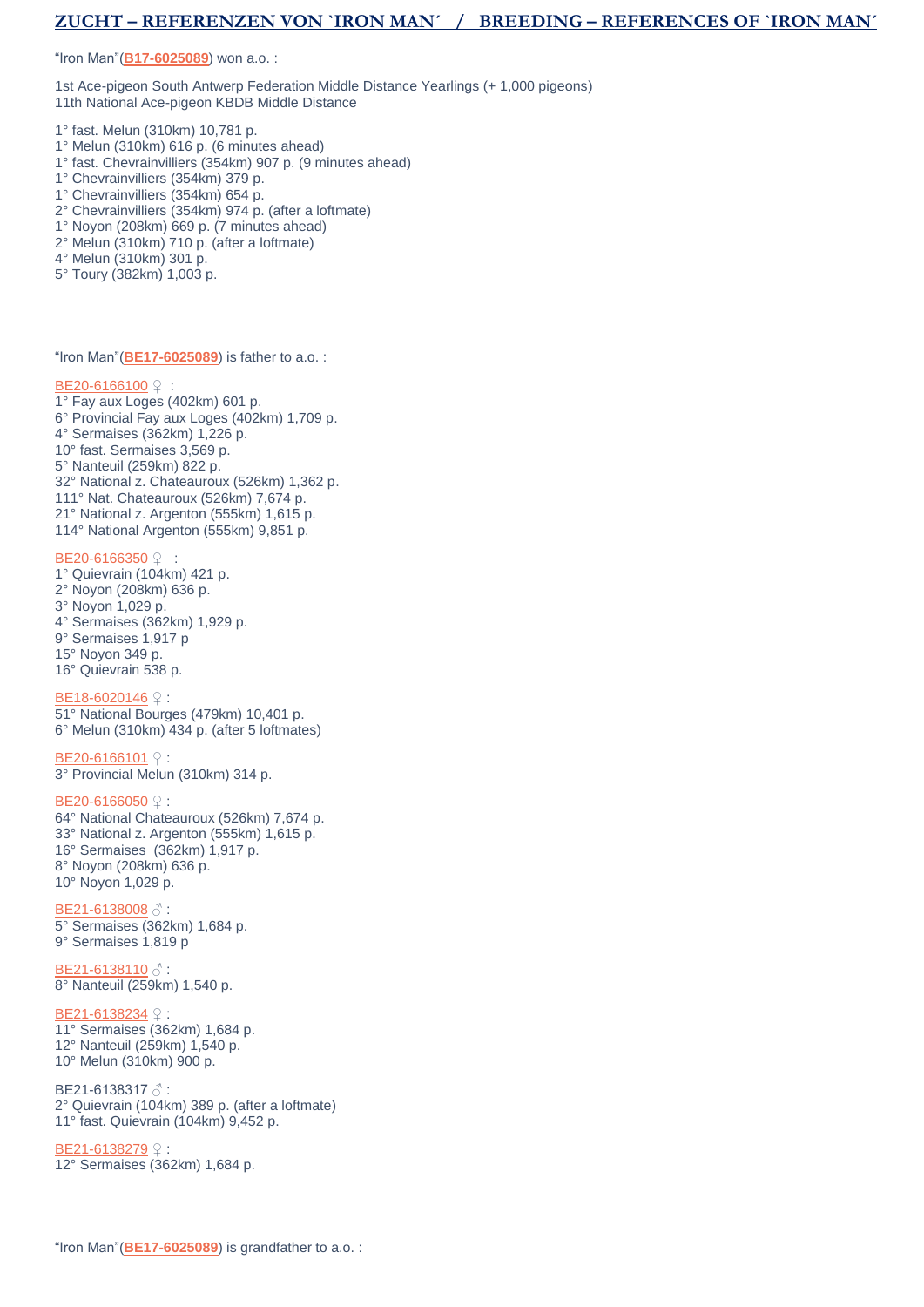# **ZUCHT – REFERENZEN VON `IRON MAN´ / BREEDING – REFERENCES OF `IRON MAN´**

"Iron Man"(**[B17-6025089](https://www.hokjosvercammen.com/pigeon/be17-6025089-0)**) won a.o. :

1st Ace-pigeon South Antwerp Federation Middle Distance Yearlings (+ 1,000 pigeons) 11th National Ace-pigeon KBDB Middle Distance

- 1° fast. Melun (310km) 10,781 p.
- 1° Melun (310km) 616 p. (6 minutes ahead)
- 1° fast. Chevrainvilliers (354km) 907 p. (9 minutes ahead)
- 1° Chevrainvilliers (354km) 379 p.
- 1° Chevrainvilliers (354km) 654 p.
- 2° Chevrainvilliers (354km) 974 p. (after a loftmate)
- 1° Noyon (208km) 669 p. (7 minutes ahead)
- 2° Melun (310km) 710 p. (after a loftmate)
- 4° Melun (310km) 301 p.
- 5° Toury (382km) 1,003 p.

"Iron Man"(**[BE17-6025089](https://www.hokjosvercammen.com/pigeon/be17-6025089-0)**) is father to a.o. :

### [BE20-6166100](https://www.hokjosvercammen.com/pigeon/be20-6166100) ♀

- 1° Fay aux Loges (402km) 601 p.
- 6° Provincial Fay aux Loges (402km) 1,709 p.
- 4° Sermaises (362km) 1,226 p.
- 10° fast. Sermaises 3,569 p.
- 5° Nanteuil (259km) 822 p.
- 32° National z. Chateauroux (526km) 1,362 p.
- 111° Nat. Chateauroux (526km) 7,674 p.
- 21° National z. Argenton (555km) 1,615 p.
- 114° National Argenton (555km) 9,851 p.

### [BE20-6166350](https://www.hokjosvercammen.com/pigeon/be20-6166350) ♀

- 1° Quievrain (104km) 421 p. 2° Noyon (208km) 636 p. 3° Noyon 1,029 p. 4° Sermaises (362km) 1,929 p. 9° Sermaises 1,917 p 15° Noyon 349 p.
- 16° Quievrain 538 p.

### [BE18-6020146](https://www.hokjosvercammen.com/pigeon/be18-6020146) ♀ :

51° National Bourges (479km) 10,401 p. 6° Melun (310km) 434 p. (after 5 loftmates)

### [BE20-6166101](https://www.hokjosvercammen.com/pigeon/be20-6166101) **♀**:

3° Provincial Melun (310km) 314 p.

### [BE20-6166050](https://www.hokjosvercammen.com/pigeon/be20-6166050) ♀ :

64° National Chateauroux (526km) 7,674 p. 33° National z. Argenton (555km) 1,615 p. 16° Sermaises (362km) 1,917 p. 8° Noyon (208km) 636 p. 10° Noyon 1,029 p.

#### [BE21-6138008](https://www.hokjosvercammen.com/pigeon/be21-6138008) ♂ :

5° Sermaises (362km) 1,684 p. 9° Sermaises 1,819 p

### **[BE21-6138110](https://www.hokjosvercammen.com/pigeon/be21-6138110) ♂:**

8° Nanteuil (259km) 1,540 p.

#### [BE21-6138234](https://www.hokjosvercammen.com/pigeon/be21-6138234) ♀ :

11° Sermaises (362km) 1,684 p. 12° Nanteuil (259km) 1,540 p. 10° Melun (310km) 900 p.

### BE21-6138317 &:

2° Quievrain (104km) 389 p. (after a loftmate) 11° fast. Quievrain (104km) 9,452 p.

### [BE21-6138279](https://www.hokjosvercammen.com/pigeon/be21-6138279) ♀

12° Sermaises (362km) 1,684 p.